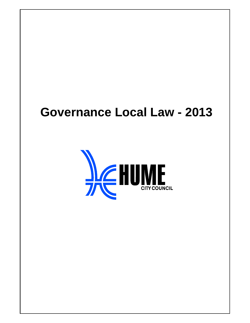# **Governance Local Law - 2013**

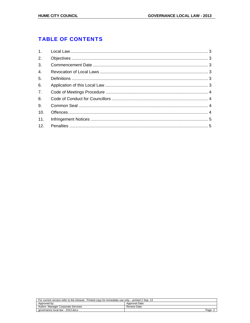# **TABLE OF CONTENTS**

| 2.             |  |
|----------------|--|
| 3 <sub>1</sub> |  |
| 4.             |  |
| 5.             |  |
| 6.             |  |
| 7.             |  |
| 8.             |  |
| 9.             |  |
| 10.            |  |
| 11.            |  |
|                |  |

| For current version refer to the Intranet. Printed copy for immediate use only – printed 2 Sep. 13 |                |  |
|----------------------------------------------------------------------------------------------------|----------------|--|
| Approved by:                                                                                       | Approval Date: |  |
| Author: Manager Corporate Services                                                                 | Review Date:   |  |
| qovernance local law - 2013.docx                                                                   | Page           |  |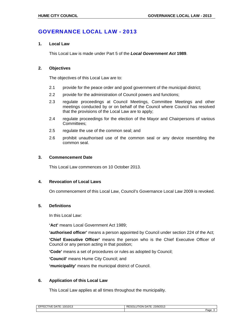## GOVERNANCE LOCAL LAW - 2013

#### **1. Local Law**

This Local Law is made under Part 5 of the *Local Government Act* **1989**.

### **2. Objectives**

The objectives of this Local Law are to:

- 2.1 provide for the peace order and good government of the municipal district;
- 2.2 provide for the administration of Council powers and functions;
- 2.3 regulate proceedings at Council Meetings, Committee Meetings and other meetings conducted by or on behalf of the Council where Council has resolved that the provisions of the Local Law are to apply;
- 2.4 regulate proceedings for the election of the Mayor and Chairpersons of various Committees;
- 2.5 regulate the use of the common seal; and
- 2.6 prohibit unauthorised use of the common seal or any device resembling the common seal.

### **3. Commencement Date**

This Local Law commences on 10 October 2013.

#### **4. Revocation of Local Laws**

On commencement of this Local Law, Council's Governance Local Law 2009 is revoked.

#### **5. Definitions**

In this Local Law:

**'Act'** means Local Government Act 1989;

**'authorised officer'** means a person appointed by Council under section 224 of the Act;

**'Chief Executive Officer'** means the person who is the Chief Executive Officer of Council or any person acting in that position;

**'Code'** means a set of procedures or rules as adopted by Council;

**'Council'** means Hume City Council; and

**'municipality'** means the municipal district of Council.

## **6. Application of this Local Law**

This Local Law applies at all times throughout the municipality.

| : DATE: 1<br>10/10/13<br>$\overline{\phantom{a}}$<br>.<br><b>⊻ ∟</b> | I DATE: 23/9/2013<br>RESOLUTION |
|----------------------------------------------------------------------|---------------------------------|
|                                                                      | 100 <sup>2</sup><br>ayu-        |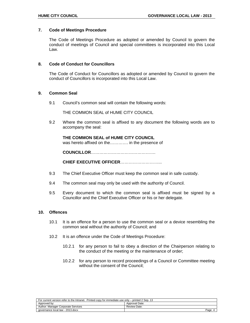#### **7. Code of Meetings Procedure**

The Code of Meetings Procedure as adopted or amended by Council to govern the conduct of meetings of Council and special committees is incorporated into this Local Law.

#### **8. Code of Conduct for Councillors**

The Code of Conduct for Councillors as adopted or amended by Council to govern the conduct of Councillors is incorporated into this Local Law.

### **9. Common Seal**

9.1 Council's common seal will contain the following words:

THE COMMON SEAL of HUME CITY COUNCIL

9.2 Where the common seal is affixed to any document the following words are to accompany the seal:

#### **THE COMMON SEAL of HUME CITY COUNCIL**

was hereto affixed on the…………. in the presence of

**COUNCILLOR**……………………………………….

**CHIEF EXECUTIVE OFFICER**………………………...

- 9.3 The Chief Executive Officer must keep the common seal in safe custody.
- 9.4 The common seal may only be used with the authority of Council.
- 9.5 Every document to which the common seal is affixed must be signed by a Councillor and the Chief Executive Officer or his or her delegate.

#### **10. Offences**

- 10.1 It is an offence for a person to use the common seal or a device resembling the common seal without the authority of Council; and
- 10.2 It is an offence under the Code of Meetings Procedure:
	- 10.2.1 for any person to fail to obey a direction of the Chairperson relating to the conduct of the meeting or the maintenance of order;
	- 10.2.2 for any person to record proceedings of a Council or Committee meeting without the consent of the Council;

| For current version refer to the Intranet. Printed copy for immediate use only – printed 2 Sep. 13 |                     |  |  |  |
|----------------------------------------------------------------------------------------------------|---------------------|--|--|--|
| Approved by:                                                                                       | Approval Date:      |  |  |  |
| Author: Manager Corporate Services                                                                 | <b>Review Date:</b> |  |  |  |
| aovernance local law - 2013.docx                                                                   | Page                |  |  |  |